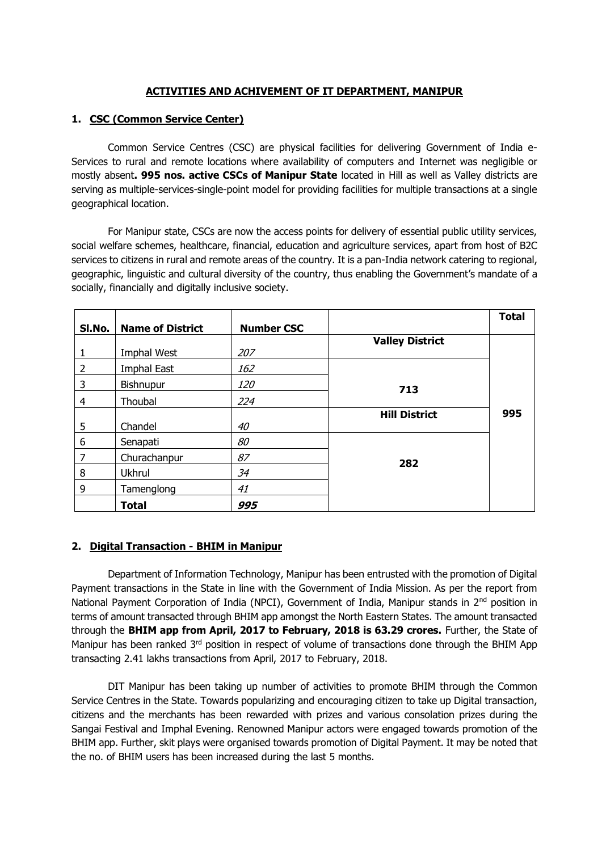# **ACTIVITIES AND ACHIVEMENT OF IT DEPARTMENT, MANIPUR**

# **1. CSC (Common Service Center)**

Common Service Centres (CSC) are physical facilities for delivering Government of India e-Services to rural and remote locations where availability of computers and Internet was negligible or mostly absent**. 995 nos. active CSCs of Manipur State** located in Hill as well as Valley districts are serving as multiple-services-single-point model for providing facilities for multiple transactions at a single geographical location.

For Manipur state, CSCs are now the access points for delivery of essential public utility services, social welfare schemes, healthcare, financial, education and agriculture services, apart from host of B2C services to citizens in rural and remote areas of the country. It is a pan-India network catering to regional, geographic, linguistic and cultural diversity of the country, thus enabling the Government's mandate of a socially, financially and digitally inclusive society.

| SI.No. | <b>Name of District</b> | <b>Number CSC</b> |                        | <b>Total</b> |
|--------|-------------------------|-------------------|------------------------|--------------|
|        |                         |                   | <b>Valley District</b> |              |
|        | Imphal West             | 207               |                        |              |
| 2      | <b>Imphal East</b>      | 162               |                        |              |
| 3      | Bishnupur               | <i>120</i>        | 713                    |              |
| 4      | Thoubal                 | 224               |                        |              |
|        |                         |                   | <b>Hill District</b>   | 995          |
| 5      | Chandel                 | 40                |                        |              |
| 6      | Senapati                | 80                |                        |              |
| 7      | Churachanpur            | 87                | 282                    |              |
| 8      | Ukhrul                  | 34                |                        |              |
| 9      | Tamenglong              | 41                |                        |              |
|        | <b>Total</b>            | 995               |                        |              |

# **2. Digital Transaction - BHIM in Manipur**

Department of Information Technology, Manipur has been entrusted with the promotion of Digital Payment transactions in the State in line with the Government of India Mission. As per the report from National Payment Corporation of India (NPCI), Government of India, Manipur stands in 2<sup>nd</sup> position in terms of amount transacted through BHIM app amongst the North Eastern States. The amount transacted through the **BHIM app from April, 2017 to February, 2018 is 63.29 crores.** Further, the State of Manipur has been ranked 3<sup>rd</sup> position in respect of volume of transactions done through the BHIM App transacting 2.41 lakhs transactions from April, 2017 to February, 2018.

DIT Manipur has been taking up number of activities to promote BHIM through the Common Service Centres in the State. Towards popularizing and encouraging citizen to take up Digital transaction, citizens and the merchants has been rewarded with prizes and various consolation prizes during the Sangai Festival and Imphal Evening. Renowned Manipur actors were engaged towards promotion of the BHIM app. Further, skit plays were organised towards promotion of Digital Payment. It may be noted that the no. of BHIM users has been increased during the last 5 months.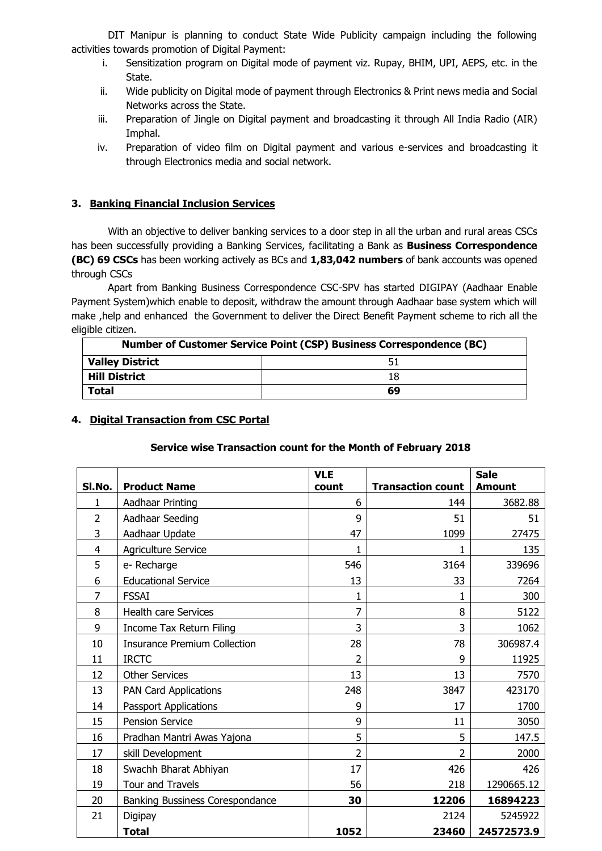DIT Manipur is planning to conduct State Wide Publicity campaign including the following activities towards promotion of Digital Payment:

- i. Sensitization program on Digital mode of payment viz. Rupay, BHIM, UPI, AEPS, etc. in the State.
- ii. Wide publicity on Digital mode of payment through Electronics & Print news media and Social Networks across the State.
- iii. Preparation of Jingle on Digital payment and broadcasting it through All India Radio (AIR) Imphal.
- iv. Preparation of video film on Digital payment and various e-services and broadcasting it through Electronics media and social network.

### **3. Banking Financial Inclusion Services**

With an objective to deliver banking services to a door step in all the urban and rural areas CSCs has been successfully providing a Banking Services, facilitating a Bank as **Business Correspondence (BC) 69 CSCs** has been working actively as BCs and **1,83,042 numbers** of bank accounts was opened through CSCs

Apart from Banking Business Correspondence CSC-SPV has started DIGIPAY (Aadhaar Enable Payment System)which enable to deposit, withdraw the amount through Aadhaar base system which will make ,help and enhanced the Government to deliver the Direct Benefit Payment scheme to rich all the eligible citizen.

| <b>Number of Customer Service Point (CSP) Business Correspondence (BC)</b> |    |  |  |
|----------------------------------------------------------------------------|----|--|--|
| Valley District                                                            | 51 |  |  |
| <b>Hill District</b>                                                       | 18 |  |  |
| $\mid$ Total                                                               | 69 |  |  |

#### **4. Digital Transaction from CSC Portal**

#### **Service wise Transaction count for the Month of February 2018**

| SI.No.         | <b>Product Name</b>                 | <b>VLE</b><br>count | <b>Transaction count</b> | <b>Sale</b><br><b>Amount</b> |
|----------------|-------------------------------------|---------------------|--------------------------|------------------------------|
| 1              | Aadhaar Printing                    | 6                   | 144                      | 3682.88                      |
| $\overline{2}$ | Aadhaar Seeding                     | 9                   | 51                       | 51                           |
| 3              |                                     | 47                  | 1099                     |                              |
|                | Aadhaar Update                      |                     |                          | 27475                        |
| $\overline{4}$ | Agriculture Service                 | 1                   | 1                        | 135                          |
| 5              | e-Recharge                          | 546                 | 3164                     | 339696                       |
| 6              | <b>Educational Service</b>          | 13                  | 33                       | 7264                         |
| 7              | <b>FSSAI</b>                        | 1                   | 1                        | 300                          |
| 8              | <b>Health care Services</b>         | 7                   | 8                        | 5122                         |
| 9              | Income Tax Return Filing            | 3                   | 3                        | 1062                         |
| 10             | <b>Insurance Premium Collection</b> | 28                  | 78                       | 306987.4                     |
| 11             | <b>IRCTC</b>                        | 2                   | 9                        | 11925                        |
| 12             | <b>Other Services</b>               | 13                  | 13                       | 7570                         |
| 13             | <b>PAN Card Applications</b>        | 248                 | 3847                     | 423170                       |
| 14             | <b>Passport Applications</b>        | 9                   | 17                       | 1700                         |
| 15             | <b>Pension Service</b>              | 9                   | 11                       | 3050                         |
| 16             | Pradhan Mantri Awas Yajona          | 5                   | 5                        | 147.5                        |
| 17             | skill Development                   | 2                   | 2                        | 2000                         |
| 18             | Swachh Bharat Abhiyan               | 17                  | 426                      | 426                          |
| 19             | <b>Tour and Travels</b>             | 56                  | 218                      | 1290665.12                   |
| 20             | Banking Bussiness Corespondance     | 30                  | 12206                    | 16894223                     |
| 21             | Digipay                             |                     | 2124                     | 5245922                      |
|                | <b>Total</b>                        | 1052                | 23460                    | 24572573.9                   |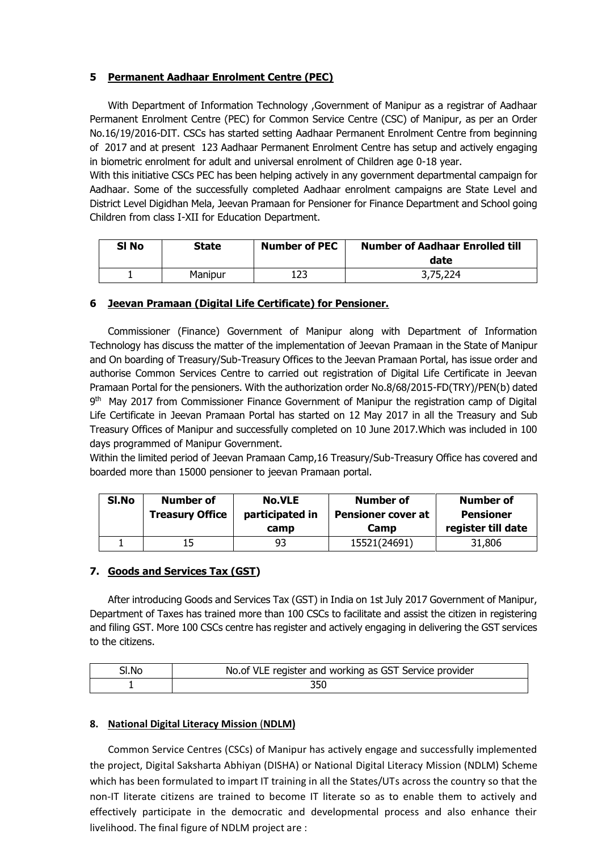# **5 Permanent Aadhaar Enrolment Centre (PEC)**

With Department of Information Technology ,Government of Manipur as a registrar of Aadhaar Permanent Enrolment Centre (PEC) for Common Service Centre (CSC) of Manipur, as per an Order No.16/19/2016-DIT. CSCs has started setting Aadhaar Permanent Enrolment Centre from beginning of 2017 and at present 123 Aadhaar Permanent Enrolment Centre has setup and actively engaging in biometric enrolment for adult and universal enrolment of Children age 0-18 year.

With this initiative CSCs PEC has been helping actively in any government departmental campaign for Aadhaar. Some of the successfully completed Aadhaar enrolment campaigns are State Level and District Level Digidhan Mela, Jeevan Pramaan for Pensioner for Finance Department and School going Children from class I-XII for Education Department.

| SI No | <b>State</b> | <b>Number of PEC</b> | <b>Number of Aadhaar Enrolled till</b><br>date |
|-------|--------------|----------------------|------------------------------------------------|
|       | Manipur      |                      | 3,75,224                                       |

### **6 Jeevan Pramaan (Digital Life Certificate) for Pensioner.**

Commissioner (Finance) Government of Manipur along with Department of Information Technology has discuss the matter of the implementation of Jeevan Pramaan in the State of Manipur and On boarding of Treasury/Sub-Treasury Offices to the Jeevan Pramaan Portal, has issue order and authorise Common Services Centre to carried out registration of Digital Life Certificate in Jeevan Pramaan Portal for the pensioners. With the authorization order No.8/68/2015-FD(TRY)/PEN(b) dated 9<sup>th</sup> May 2017 from Commissioner Finance Government of Manipur the registration camp of Digital Life Certificate in Jeevan Pramaan Portal has started on 12 May 2017 in all the Treasury and Sub Treasury Offices of Manipur and successfully completed on 10 June 2017.Which was included in 100 days programmed of Manipur Government.

Within the limited period of Jeevan Pramaan Camp,16 Treasury/Sub-Treasury Office has covered and boarded more than 15000 pensioner to jeevan Pramaan portal.

| Sl.No | <b>Number of</b>       | <b>No.VLE</b><br>Number of |                                   | <b>Number of</b>                       |
|-------|------------------------|----------------------------|-----------------------------------|----------------------------------------|
|       | <b>Treasury Office</b> | participated in<br>camp    | <b>Pensioner cover at</b><br>Camp | <b>Pensioner</b><br>register till date |
|       | 15                     | 93                         | 15521(24691)                      | 31,806                                 |

#### **7. Goods and Services Tax (GST)**

After introducing Goods and Services Tax (GST) in India on 1st July 2017 Government of Manipur, Department of Taxes has trained more than 100 CSCs to facilitate and assist the citizen in registering and filing GST. More 100 CSCs centre has register and actively engaging in delivering the GST services to the citizens.

| Sl.No | No.of VLE register and working as GST Service provider |
|-------|--------------------------------------------------------|
|       |                                                        |

#### **8. National Digital Literacy Mission** (**NDLM)**

Common Service Centres (CSCs) of Manipur has actively engage and successfully implemented the project, Digital Saksharta Abhiyan (DISHA) or National Digital Literacy Mission (NDLM) Scheme which has been formulated to impart IT training in all the States/UTs across the country so that the non-IT literate citizens are trained to become IT literate so as to enable them to actively and effectively participate in the democratic and developmental process and also enhance their livelihood. The final figure of NDLM project are :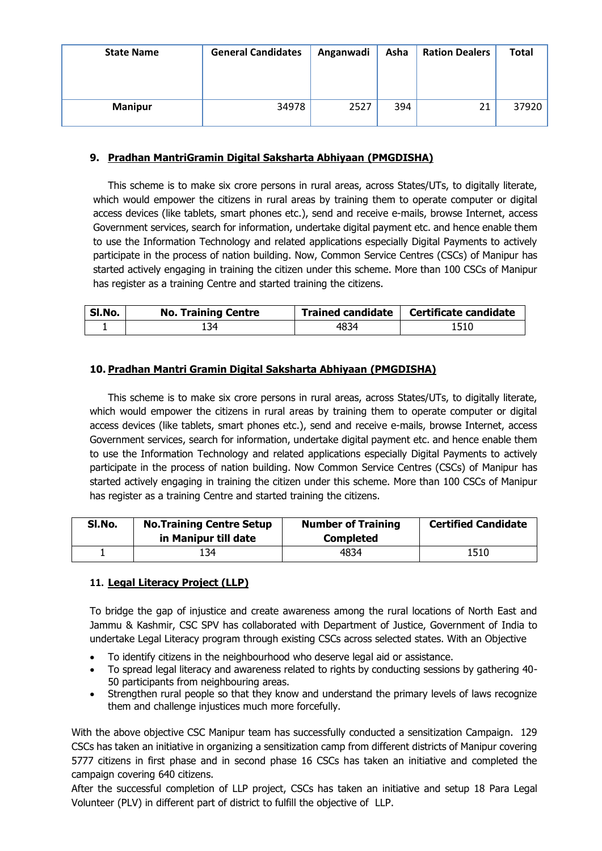| <b>State Name</b> | <b>General Candidates</b> | Anganwadi | Asha | <b>Ration Dealers</b> | <b>Total</b> |
|-------------------|---------------------------|-----------|------|-----------------------|--------------|
| <b>Manipur</b>    | 34978                     | 2527      | 394  |                       | 37920        |

## **9. Pradhan MantriGramin Digital Saksharta Abhiyaan (PMGDISHA)**

This scheme is to make six crore persons in rural areas, across States/UTs, to digitally literate, which would empower the citizens in rural areas by training them to operate computer or digital access devices (like tablets, smart phones etc.), send and receive e-mails, browse Internet, access Government services, search for information, undertake digital payment etc. and hence enable them to use the Information Technology and related applications especially Digital Payments to actively participate in the process of nation building. Now, Common Service Centres (CSCs) of Manipur has started actively engaging in training the citizen under this scheme. More than 100 CSCs of Manipur has register as a training Centre and started training the citizens.

| Sl.No. | <b>No. Training Centre</b> |      | Trained candidate   Certificate candidate |
|--------|----------------------------|------|-------------------------------------------|
|        | 134                        | 4834 | 1510                                      |

### **10. Pradhan Mantri Gramin Digital Saksharta Abhiyaan (PMGDISHA)**

This scheme is to make six crore persons in rural areas, across States/UTs, to digitally literate, which would empower the citizens in rural areas by training them to operate computer or digital access devices (like tablets, smart phones etc.), send and receive e-mails, browse Internet, access Government services, search for information, undertake digital payment etc. and hence enable them to use the Information Technology and related applications especially Digital Payments to actively participate in the process of nation building. Now Common Service Centres (CSCs) of Manipur has started actively engaging in training the citizen under this scheme. More than 100 CSCs of Manipur has register as a training Centre and started training the citizens.

| SI.No. | <b>No. Training Centre Setup</b><br>in Manipur till date | <b>Number of Training</b><br><b>Completed</b> | <b>Certified Candidate</b> |
|--------|----------------------------------------------------------|-----------------------------------------------|----------------------------|
|        | .34                                                      | 4834                                          | 1510                       |

# **11. Legal Literacy Project (LLP)**

To bridge the gap of injustice and create awareness among the rural locations of North East and Jammu & Kashmir, CSC SPV has collaborated with Department of Justice, Government of India to undertake Legal Literacy program through existing CSCs across selected states. With an Objective

- To identify citizens in the neighbourhood who deserve legal aid or assistance.
- To spread legal literacy and awareness related to rights by conducting sessions by gathering 40- 50 participants from neighbouring areas.
- Strengthen rural people so that they know and understand the primary levels of laws recognize them and challenge injustices much more forcefully.

With the above objective CSC Manipur team has successfully conducted a sensitization Campaign. 129 CSCs has taken an initiative in organizing a sensitization camp from different districts of Manipur covering 5777 citizens in first phase and in second phase 16 CSCs has taken an initiative and completed the campaign covering 640 citizens.

After the successful completion of LLP project, CSCs has taken an initiative and setup 18 Para Legal Volunteer (PLV) in different part of district to fulfill the objective of LLP.